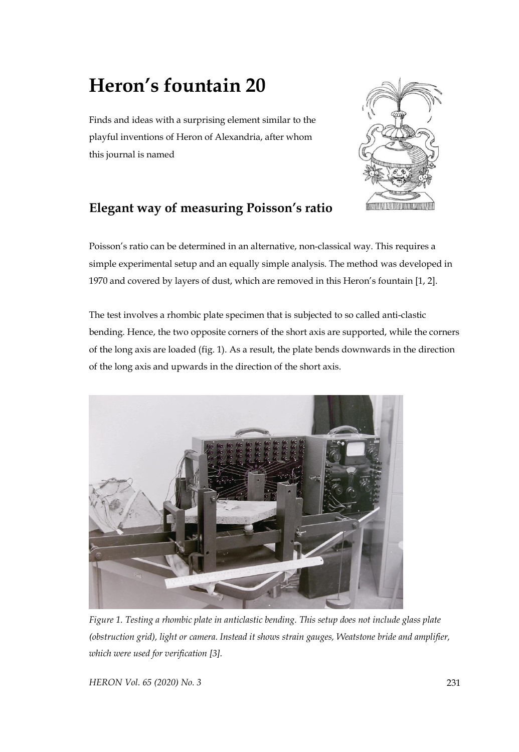## **Heron's fountain 20**

Finds and ideas with a surprising element similar to the playful inventions of Heron of Alexandria, after whom this journal is named



## **Elegant way of measuring Poisson's ratio**

Poisson's ratio can be determined in an alternative, non-classical way. This requires a simple experimental setup and an equally simple analysis. The method was developed in 1970 and covered by layers of dust, which are removed in this Heron's fountain [1, 2].

The test involves a rhombic plate specimen that is subjected to so called anti-clastic bending. Hence, the two opposite corners of the short axis are supported, while the corners of the long axis are loaded (fig. 1). As a result, the plate bends downwards in the direction of the long axis and upwards in the direction of the short axis.



*Figure 1. Testing a rhombic plate in anticlastic bending. This setup does not include glass plate (obstruction grid), light or camera. Instead it shows strain gauges, Weatstone bride and amplifier, which were used for verification [3].*

*HERON Vol. 65 (2020) No. 3* 231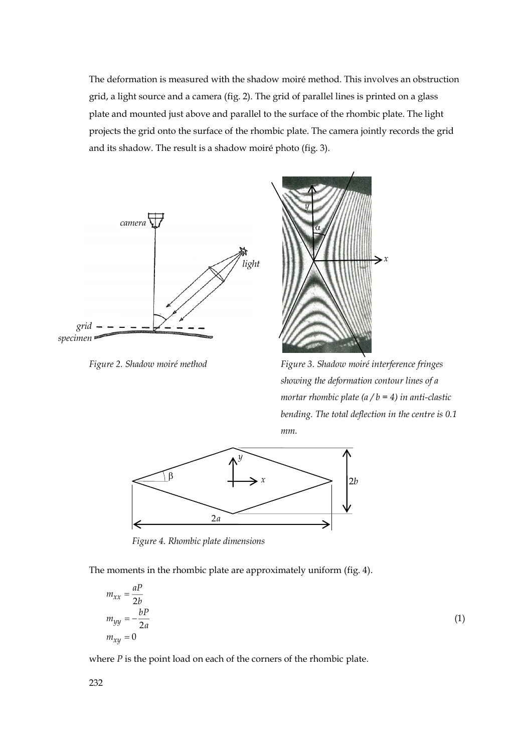The deformation is measured with the shadow moiré method. This involves an obstruction grid, a light source and a camera (fig. 2). The grid of parallel lines is printed on a glass plate and mounted just above and parallel to the surface of the rhombic plate. The light projects the grid onto the surface of the rhombic plate. The camera jointly records the grid and its shadow. The result is a shadow moiré photo (fig. 3).





*Figure 2. Shadow moiré method Figure 3. Shadow moiré interference fringes showing the deformation contour lines of a mortar rhombic plate (a / b = 4) in anti-clastic bending. The total deflection in the centre is 0.1 mm.*



 *Figure 4. Rhombic plate dimensions*

The moments in the rhombic plate are approximately uniform (fig. 4).

$$
m_{xx} = \frac{aP}{2b}
$$
  
\n
$$
m_{yy} = -\frac{bP}{2a}
$$
  
\n
$$
m_{xy} = 0
$$
\n(1)

where *P* is the point load on each of the corners of the rhombic plate.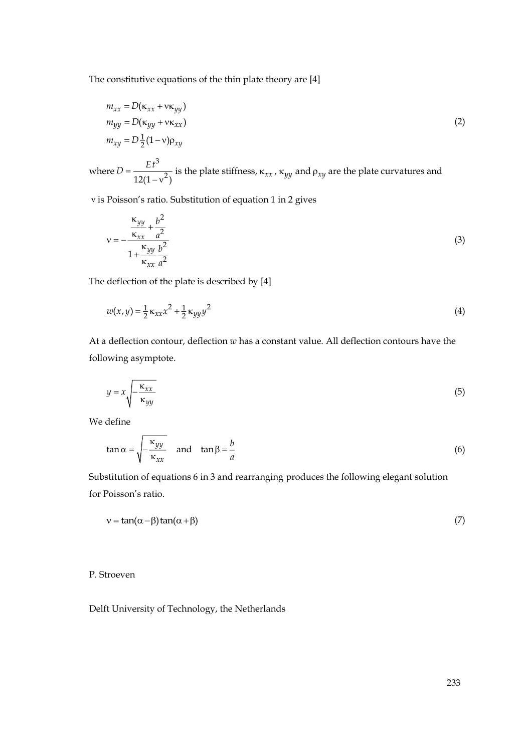The constitutive equations of the thin plate theory are [4]

$$
m_{xx} = D(\kappa_{xx} + v\kappa_{yy})
$$
  
\n
$$
m_{yy} = D(\kappa_{yy} + v\kappa_{xx})
$$
  
\n
$$
m_{xy} = D\frac{1}{2}(1 - v)\rho_{xy}
$$
\n(2)

where  $D = \frac{1}{12(1 - v)}$ 3  $12(1-v^2)$  $D = \frac{Et^3}{12(1-x^2)}$  is the plate stiffness,  $\kappa_{xx}$ ,  $\kappa_{yy}$  and  $\rho_{xy}$  are the plate curvatures and

is Poisson's ratio. Substitution of equation 1 in 2 gives

$$
v = -\frac{\frac{\kappa_{yy}}{\kappa_{xx}} + \frac{b^2}{a^2}}{1 + \frac{\kappa_{yy}}{\kappa_{xx}} \frac{b^2}{a^2}}
$$
 (3)

The deflection of the plate is described by [4]

$$
w(x, y) = \frac{1}{2} \kappa_{xx} x^2 + \frac{1}{2} \kappa_{yy} y^2
$$
 (4)

At a deflection contour, deflection *w* has a constant value. All deflection contours have the following asymptote.

$$
y = x \sqrt{\frac{\kappa_{xx}}{\kappa_{yy}}} \tag{5}
$$

We define

$$
\tan \alpha = \sqrt{-\frac{\kappa_{yy}}{\kappa_{xx}}} \quad \text{and} \quad \tan \beta = \frac{b}{a}
$$
 (6)

Substitution of equations 6 in 3 and rearranging produces the following elegant solution for Poisson's ratio.

$$
v = \tan(\alpha - \beta) \tan(\alpha + \beta) \tag{7}
$$

P. Stroeven

Delft University of Technology, the Netherlands